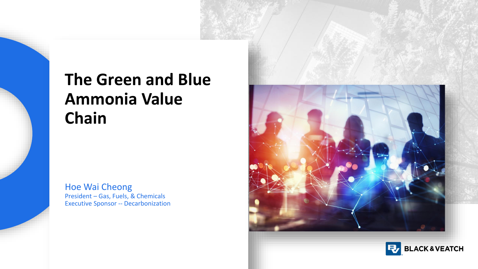## **The Green and Blue Ammonia Value Chain**

Hoe Wai Cheong President – Gas, Fuels, & Chemicals Executive Sponsor -- Decarbonization



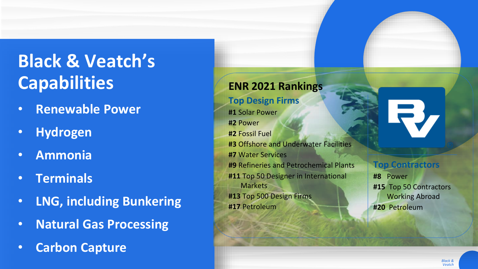# **Black & Veatch's Capabilities**

- **Renewable Power**
- **Hydrogen**
- **Ammonia**
- **Terminals**
- **LNG, including Bunkering**
- **Natural Gas Processing**
- **Carbon Capture**

#### **ENR 2021 Rankings**

#### **Top Design Firms**

**#1** Solar Power **#2** Power **#2** Fossil Fuel **#3** Offshore and Underwater Facilities **#7** Water Services **#9** Refineries and Petrochemical Plants **#11** Top 50 Designer in International Markets **#13** Top 500 Design Firms **#17** Petroleum



#### **Top Contractors**

**#8** Power **#15** Top 50 Contractors Working Abroad **#20** Petroleum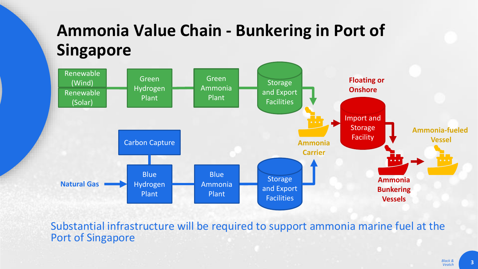## **Ammonia Value Chain - Bunkering in Port of Singapore**



Substantial infrastructure will be required to support ammonia marine fuel at the Port of Singapore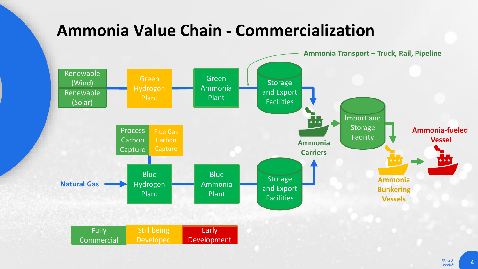### **Ammonia Value Chain - Commercialization**

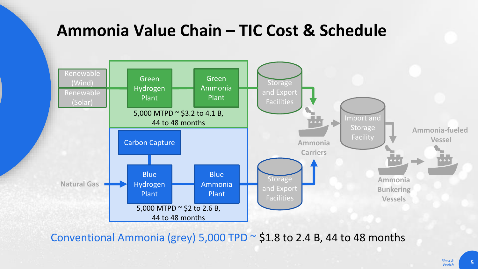### **Ammonia Value Chain – TIC Cost & Schedule**



Conventional Ammonia (grey) 5,000 TPD  $\sim$  \$1.8 to 2.4 B, 44 to 48 months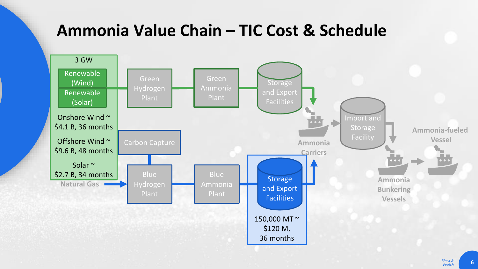### **Ammonia Value Chain – TIC Cost & Schedule**

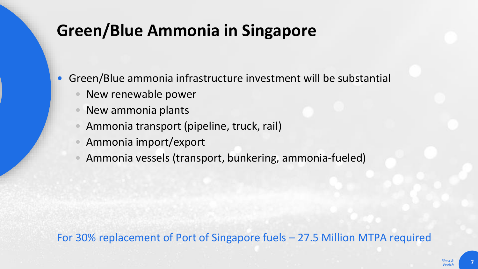## **Green/Blue Ammonia in Singapore**

• Green/Blue ammonia infrastructure investment will be substantial

- New renewable power
- New ammonia plants
- Ammonia transport (pipeline, truck, rail)
- Ammonia import/export
- Ammonia vessels (transport, bunkering, ammonia-fueled)

#### For 30% replacement of Port of Singapore fuels – 27.5 Million MTPA required